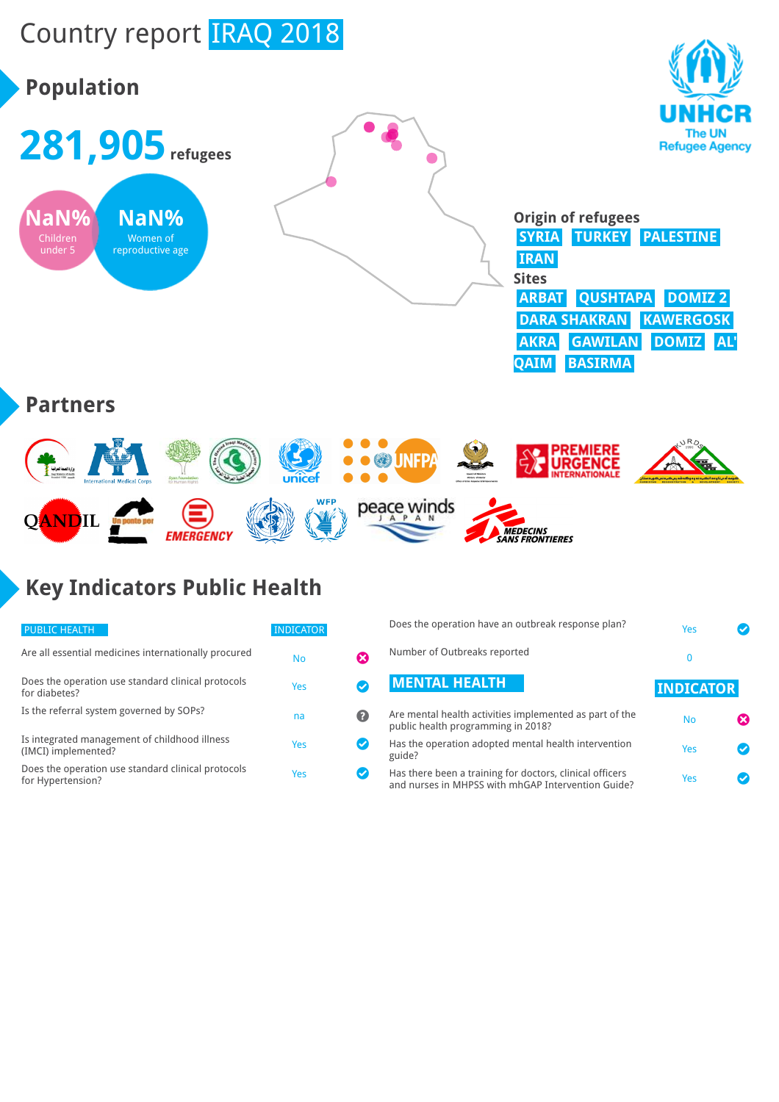## Country report IRAQ 2018

# **Population**





|              | <b>Origin of refugees</b>     |  |  |
|--------------|-------------------------------|--|--|
|              | SYRIA TURKEY PALESTINE        |  |  |
| <b>IRAN</b>  |                               |  |  |
| <b>Sites</b> |                               |  |  |
|              | <b>ARBAT QUSHTAPA DOMIZ 2</b> |  |  |
|              | <b>DARA SHAKRAN KAWERGOSK</b> |  |  |
|              | AKRA GAWILAN DOMIZ AL'        |  |  |
|              | <b>QAIM BASIRMA</b>           |  |  |

#### **Partners**



### **Key Indicators Public Health**

| <b>PUBLIC HEALTH</b>                                                    | <b>INDICATOR</b> |    |
|-------------------------------------------------------------------------|------------------|----|
| Are all essential medicines internationally procured                    | No               | X) |
| Does the operation use standard clinical protocols<br>for diabetes?     | Yes              |    |
| Is the referral system governed by SOPs?                                | na               | 2) |
| Is integrated management of childhood illness<br>(IMCI) implemented?    | Yes              |    |
| Does the operation use standard clinical protocols<br>for Hypertension? | Yes              |    |

|               | Does the operation have an outbreak response plan?                                                             | Yes              |  |
|---------------|----------------------------------------------------------------------------------------------------------------|------------------|--|
|               | Number of Outbreaks reported                                                                                   | 0                |  |
|               | <b>MENTAL HEALTH</b>                                                                                           | <b>INDICATOR</b> |  |
| Ø             | Are mental health activities implemented as part of the<br>public health programming in 2018?                  | <b>No</b>        |  |
| $\bm{\omega}$ | Has the operation adopted mental health intervention<br>guide?                                                 | Yes              |  |
|               | Has there been a training for doctors, clinical officers<br>and nurses in MHPSS with mhGAP Intervention Guide? | Yes              |  |